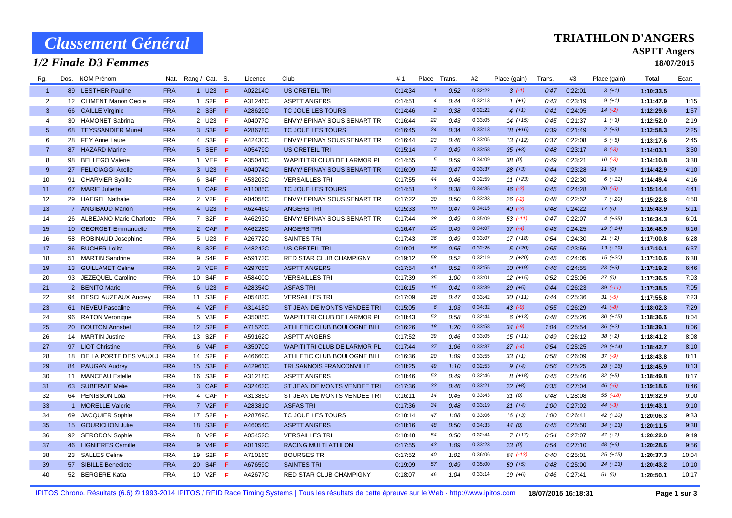# *Classement Général*

## *1/2 Finale D3 Femmes*

#### **TRIATHLON D'ANGERS**

### **ASPTT Angers**

**18/07/2015**

| Rg.            |    | Dos. NOM Prénom               |            | Nat. Rang / Cat. S. |                             |              | Licence | Club                                | #1      | Place Trans.    |      | #2      | Place (gain) | Trans. | #3      | Place (gain) | Total     | Ecart |
|----------------|----|-------------------------------|------------|---------------------|-----------------------------|--------------|---------|-------------------------------------|---------|-----------------|------|---------|--------------|--------|---------|--------------|-----------|-------|
| $\overline{1}$ |    | 89 LESTHER Pauline            | <b>FRA</b> |                     | 1 U23 F                     |              | A02214C | <b>US CRETEIL TRI</b>               | 0:14:34 | $\mathbf{1}$    | 0:52 | 0:32:22 | $3(-1)$      | 0:47   | 0:22:01 | $3(+1)$      | 1:10:33.5 |       |
| $\overline{2}$ |    | 12 CLIMENT Manon Cecile       | <b>FRA</b> |                     | 1 S2F                       | $\mathbf{F}$ | A31246C | <b>ASPTT ANGERS</b>                 | 0:14:51 | $\overline{4}$  | 0:44 | 0:32:13 | $1(+1)$      | 0:43   | 0:23:19 | $9 (+1)$     | 1:11:47.9 | 1:15  |
| 3              |    | 66 CAILLE Virginie            | <b>FRA</b> |                     | 2 S3F F                     |              | A28629C | TC JOUE LES TOURS                   | 0:14:46 | $\overline{2}$  | 0:38 | 0:32:22 | $4(+1)$      | 0:41   | 0:24:05 | $14(-2)$     | 1:12:29.6 | 1:57  |
| 4              |    | 30 HAMONET Sabrina            | <b>FRA</b> |                     | 2 U23 F                     |              | A04077C | ENVY/ EPINAY SOUS SENART TR         | 0:16:44 | 22              | 0:43 | 0:33:05 | $14(+15)$    | 0:45   | 0:21:37 | $1 (+3)$     | 1:12:52.0 | 2:19  |
| $\overline{5}$ | 68 | <b>TEYSSANDIER Muriel</b>     | <b>FRA</b> |                     | 3 S3F                       | -F           | A28678C | TC JOUE LES TOURS                   | 0:16:45 | 24              | 0:34 | 0:33:13 | $18(+16)$    | 0:39   | 0:21:49 | $2(+3)$      | 1:12:58.3 | 2:25  |
| 6              |    | 28 FEY Anne Laure             | <b>FRA</b> |                     | 4 S3F                       | - F          | A42430C | ENVY/ EPINAY SOUS SENART TR         | 0:16:44 | 23              | 0:46 | 0:33:05 | $13 (+12)$   | 0:37   | 0:22:08 | $5(+5)$      | 1:13:17.6 | 2:45  |
| $\overline{7}$ |    | 87 HAZARD Marine              | <b>FRA</b> |                     | 5 SEF                       | - F          | A05479C | <b>US CRETEIL TRI</b>               | 0:15:14 | $\overline{7}$  | 0:49 | 0:33:58 | $35 (+3)$    | 0:48   | 0:23:17 | $8(-3)$      | 1:14:03.1 | 3:30  |
| 8              | 98 | <b>BELLEGO Valerie</b>        | <b>FRA</b> |                     | 1 VEF                       | - F          | A35041C | WAPITI TRI CLUB DE LARMOR PL        | 0:14:55 | 5               | 0:59 | 0:34:09 | 38(0)        | 0:49   | 0:23:21 | $10(-3)$     | 1:14:10.8 | 3:38  |
| 9              |    | 27 FELICIAGGI Axelle          | <b>FRA</b> |                     | 3 U23 F                     |              | A04074C | <b>ENVY/ EPINAY SOUS SENART TR</b>  | 0:16:09 | 12              | 0:47 | 0:33:37 | $28 (+3)$    | 0:44   | 0:23:28 | 11(0)        | 1:14:42.9 | 4:10  |
| 10             |    | 91 CHARVIER Sybille           | <b>FRA</b> |                     | 6 S4F F                     |              | A53203C | <b>VERSAILLES TRI</b>               | 0:17:55 | 44              | 0:46 | 0:32:59 | $11 (+23)$   | 0:42   | 0:22:30 | $6(+11)$     | 1:14:49.4 | 4:16  |
| 11             |    | 67 MARIE Juliette             | <b>FRA</b> |                     | 1 CAF F                     |              | A11085C | TC JOUE LES TOURS                   | 0:14:51 | $\mathbf{3}$    | 0:38 | 0:34:35 | $46$ $(-3)$  | 0:45   | 0:24:28 | $20(-5)$     | 1:15:14.4 | 4:41  |
| 12             |    | 29 HAEGEL Nathalie            | <b>FRA</b> |                     | 2 V2F                       | - F          | A04058C | ENVY/ EPINAY SOUS SENART TR         | 0:17:22 | 30              | 0:50 | 0:33:33 | $26( -2)$    | 0:48   | 0:22:52 | $7(+20)$     | 1:15:22.8 | 4:50  |
| 13             |    | 7 ANGIBAUD Marion             | <b>FRA</b> |                     | 4 U23                       | -F           | A62446C | <b>ANGERS TRI</b>                   | 0:15:33 | 10              | 0:47 | 0:34:15 | $40(-3)$     | 0:48   | 0:24:22 | 17(0)        | 1:15:43.9 | 5:11  |
| 14             |    | 26 ALBEJANO Marie Charlotte   | <b>FRA</b> |                     | 7 S2F                       | - F          | A46293C | ENVY/ EPINAY SOUS SENART TR         | 0:17:44 | 38              | 0:49 | 0:35:09 | $53( -11)$   | 0:47   | 0:22:07 | $4(+35)$     | 1:16:34.3 | 6:01  |
| 15             |    | 10 GEORGET Emmanuelle         | <b>FRA</b> |                     | 2 CAF F                     |              | A46228C | <b>ANGERS TRI</b>                   | 0:16:47 | 25              | 0:49 | 0:34:07 | $37(-4)$     | 0:43   | 0:24:25 | $19(+14)$    | 1:16:48.9 | 6:16  |
| 16             |    | 58 ROBINAUD Josephine         | <b>FRA</b> |                     | 5 U23                       | - F          | A26772C | <b>SAINTES TRI</b>                  | 0:17:43 | 36              | 0:49 | 0:33:07 | $17(+18)$    | 0:54   | 0:24:30 | $21 (+2)$    | 1:17:00.8 | 6:28  |
| 17             |    | 86 BUCHER Lolita              | <b>FRA</b> |                     | 8 S2F F                     |              | A48242C | <b>US CRETEIL TRI</b>               | 0:19:01 | 56              | 0:55 | 0:32:26 | $5(+20)$     | 0:55   | 0:23:56 | $13(+19)$    | 1:17:10.1 | 6:37  |
| 18             |    | 51 MARTIN Sandrine            | <b>FRA</b> |                     | 9 S4F                       | - F          | A59173C | RED STAR CLUB CHAMPIGNY             | 0:19:12 | 58              | 0:52 | 0:32:19 | $2(+20)$     | 0:45   | 0:24:05 | $15(+20)$    | 1:17:10.6 | 6:38  |
| 19             |    | 13 GUILLAMET Celine           | <b>FRA</b> |                     | 3 VEF F                     |              | A29705C | <b>ASPTT ANGERS</b>                 | 0:17:54 | 41              | 0:52 | 0:32:55 | $10(+19)$    | 0:46   | 0:24:55 | $23 (+3)$    | 1:17:19.2 | 6:46  |
| 20             |    | 93 JEZEQUEL Caroline          | <b>FRA</b> |                     | 10 S4F                      | - F          | A58400C | <b>VERSAILLES TRI</b>               | 0:17:39 | 35              | 1:00 | 0:33:01 | $12(+15)$    | 0:52   | 0:25:06 | 27(0)        | 1:17:36.5 | 7:03  |
| 21             |    | 2 BENITO Marie                | <b>FRA</b> |                     | 6 U23                       | - F          | A28354C | <b>ASFAS TRI</b>                    | 0:16:15 | 15              | 0:41 | 0:33:39 | $29(+5)$     | 0:44   | 0:26:23 | $39$ $(-11)$ | 1:17:38.5 | 7:05  |
| 22             |    | 94 DESCLAUZEAUX Audrey        | <b>FRA</b> |                     | 11 S3F                      | - F          | A05483C | <b>VERSAILLES TRI</b>               | 0:17:09 | 28              | 0:47 | 0:33:42 | $30(+11)$    | 0:44   | 0:25:36 | $31 (-5)$    | 1:17:55.8 | 7:23  |
| 23             |    | 61 NEVEU Pascaline            | <b>FRA</b> |                     | 4 V <sub>2</sub> F <b>F</b> |              | A31418C | ST JEAN DE MONTS VENDEE TRI         | 0:15:05 | $6\overline{6}$ | 1:03 | 0:34:32 | $43$ (-9)    | 0:55   | 0:26:29 | $41 (-8)$    | 1:18:02.3 | 7:29  |
| 24             |    | 96 RATON Veronique            | <b>FRA</b> |                     | 5 V3F                       | - F          | A35085C | WAPITI TRI CLUB DE LARMOR PL        | 0:18:43 | 52              | 0:58 | 0:32:44 | $6 (+13)$    | 0:48   | 0:25:26 | $30 (+15)$   | 1:18:36.6 | 8:04  |
| 25             |    | 20 BOUTON Annabel             | <b>FRA</b> |                     | 12 S2F                      | - F          | A71520C | ATHLETIC CLUB BOULOGNE BILL         | 0:16:26 | 18              | 1:20 | 0:33:58 | $34 (-9)$    | 1:04   | 0:25:54 | $36 (+2)$    | 1:18:39.1 | 8:06  |
| 26             |    | 14 MARTIN Justine             | <b>FRA</b> |                     | 13 S2F                      | - F          | A59162C | <b>ASPTT ANGERS</b>                 | 0:17:52 | 39              | 0:46 | 0:33:05 | $15(+11)$    | 0:49   | 0:26:12 | $38 (+2)$    | 1:18:41.2 | 8:08  |
| 27             |    | 97 LIOT Christine             | <b>FRA</b> |                     | 6 V4F                       | F            | A35070C | <b>WAPITI TRI CLUB DE LARMOR PL</b> | 0:17:44 | 37              | 1:06 | 0:33:37 | $27(-4)$     | 0:54   | 0:25:25 | $29 (+14)$   | 1:18:42.7 | 8:10  |
| 28             |    | 18 DE LA PORTE DES VAUX J FRA |            |                     | 14 S2F                      | -F           | A46660C | ATHLETIC CLUB BOULOGNE BILL         | 0:16:36 | 20              | 1:09 | 0:33:55 | $33 (+1)$    | 0:58   | 0:26:09 | $37 (-9)$    | 1:18:43.8 | 8:11  |
| 29             |    | 84 PAUGAN Audrey              | <b>FRA</b> |                     | 15 S3F                      | - F          | A42961C | TRI SANNOIS FRANCONVILLE            | 0:18:25 | 49              | 1:10 | 0:32:53 | $9 (+4)$     | 0:56   | 0:25:25 | $28(+16)$    | 1:18:45.9 | 8:13  |
| 30             |    | 11 MANCEAU Estelle            | <b>FRA</b> |                     | 16 S3F                      | $\mathsf{F}$ | A31218C | <b>ASPTT ANGERS</b>                 | 0:18:46 | 53              | 0:49 | 0:32:46 | $8(+18)$     | 0:45   | 0:25:46 | $32 (+5)$    | 1:18:49.8 | 8:17  |
| 31             |    | 63 SUBERVIE Melie             | <b>FRA</b> |                     | 3 CAF F                     |              | A32463C | ST JEAN DE MONTS VENDEE TRI         | 0:17:36 | 33              | 0:46 | 0:33:21 | $22 (+8)$    | 0:35   | 0:27:04 | $46 (-6)$    | 1:19:18.6 | 8:46  |
| 32             |    | 64 PENISSON Lola              | <b>FRA</b> |                     | 4 CAF F                     |              | A31385C | ST JEAN DE MONTS VENDEE TRI         | 0:16:11 | 14              | 0:45 | 0:33:43 | 31(0)        | 0:48   | 0:28:08 | 55 (-18)     | 1:19:32.9 | 9:00  |
| 33             |    | 1 MORELLE Valerie             | <b>FRA</b> |                     | 7 V2F F                     |              | A28381C | <b>ASFAS TRI</b>                    | 0:17:36 | 34              | 0:48 | 0:33:19 | $21 (+4)$    | 1:00   | 0:27:02 | $44 (-3)$    | 1:19:43.1 | 9:10  |
| 34             |    | 69 JACQUIER Sophie            | <b>FRA</b> |                     | 17 S2F                      | -F           | A28769C | TC JOUE LES TOURS                   | 0:18:14 | 47              | 1:08 | 0:33:06 | $16 (+3)$    | 1:00   | 0:26:41 | 42 (+10)     | 1:20:06.3 | 9:33  |
| 35             |    | 15 GOURICHON Julie            | <b>FRA</b> |                     | 18 S3F                      | -F           | A46054C | <b>ASPTT ANGERS</b>                 | 0:18:16 | 48              | 0:50 | 0:34:33 | 44 $(0)$     | 0:45   | 0:25:50 | $34(+13)$    | 1:20:11.5 | 9:38  |
| 36             |    | 92 SERODON Sophie             | <b>FRA</b> |                     | 8 V2F                       | - F          | A05452C | <b>VERSAILLES TRI</b>               | 0:18:48 | 54              | 0:50 | 0:32:44 | $7(+17)$     | 0:54   | 0:27:07 | $47 (+1)$    | 1:20:22.0 | 9:49  |
| 37             |    | 46 LIGNIERES Camille          | <b>FRA</b> |                     | 9 V4F F                     |              | A01192C | <b>RACING MULTI ATHLON</b>          | 0:17:55 | 43              | 1:09 | 0:33:23 | 23(0)        | 0:54   | 0:27:10 | $48(+6)$     | 1:20:28.6 | 9:56  |
| 38             |    | 23 SALLES Celine              | <b>FRA</b> |                     | 19 S2F                      | - F          | A71016C | <b>BOURGES TRI</b>                  | 0:17:52 | 40              | 1:01 | 0:36:06 | $64$ $(-13)$ | 0:40   | 0:25:01 | $25 (+15)$   | 1:20:37.3 | 10:04 |
| 39             |    | 57 SIBILLE Benedicte          | <b>FRA</b> |                     | 20 S4F                      | - F          | A67659C | <b>SAINTES TRI</b>                  | 0:19:09 | 57              | 0:49 | 0:35:00 | $50(+5)$     | 0:48   | 0:25:00 | $24 (+13)$   | 1:20:43.2 | 10:10 |
| 40             |    | 52 BERGERE Katia              | <b>FRA</b> |                     | 10 V2F                      | -F           | A42677C | RED STAR CLUB CHAMPIGNY             | 0:18:07 | 46              | 1:04 | 0:33:14 | $19(+6)$     | 0:46   | 0:27:41 | 51(0)        | 1:20:50.1 | 10:17 |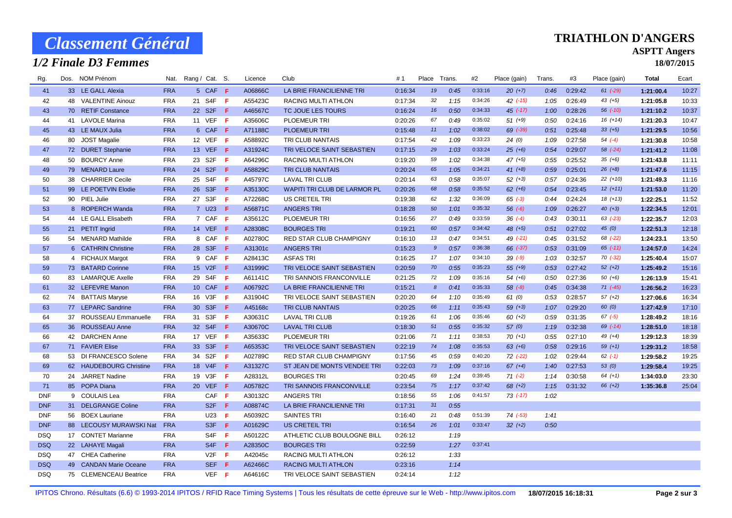# *Classement Général*

## *1/2 Finale D3 Femmes*

#### **TRIATHLON D'ANGERS**

### **ASPTT Angers**

**18/07/2015**

| Rg.        | Dos. NOM Prénom         | Nat.       | Rang / Cat. S. |                               |     | Licence | Club                                | #1      | Place                 | Trans. | #2      | Place (gain) | Trans. | #3      | Place (gain) | Total     | Ecart |
|------------|-------------------------|------------|----------------|-------------------------------|-----|---------|-------------------------------------|---------|-----------------------|--------|---------|--------------|--------|---------|--------------|-----------|-------|
| 41         | 33 LE GALL Alexia       | <b>FRA</b> |                | 5 CAF F                       |     | A06866C | LA BRIE FRANCILIENNE TRI            | 0:16:34 | 19                    | 0:45   | 0:33:16 | $20 (+7)$    | 0:46   | 0:29:42 | $61 (-29)$   | 1:21:00.4 | 10:27 |
| 42         | 48 VALENTINE Ainouz     | <b>FRA</b> |                | 21 S4F F                      |     | A55423C | <b>RACING MULTI ATHLON</b>          | 0:17:34 | 32                    | 1:15   | 0:34:26 | $42$ $(-15)$ | 1:05   | 0:26:49 | $43 (+5)$    | 1:21:05.8 | 10:33 |
| 43         | 70 RETIF Constance      | <b>FRA</b> |                | 22 S2F F                      |     | A46567C | TC JOUE LES TOURS                   | 0:16:24 | 16                    | 0:50   | 0:34:33 | $45$ (-17)   | 1:00   | 0:28:26 | $56$ $(-10)$ | 1:21:10.2 | 10:37 |
| 44         | 41 LAVOLE Marina        | <b>FRA</b> |                | 11 VEF F                      |     | A35606C | PLOEMEUR TRI                        | 0:20:26 | 67                    | 0:49   | 0:35:02 | $51 (+9)$    | 0:50   | 0:24:16 | $16 (+14)$   | 1:21:20.3 | 10:47 |
| 45         | 43 LE MAUX Julia        | <b>FRA</b> |                | 6 CAF F                       |     | A71188C | <b>PLOEMEUR TRI</b>                 | 0:15:48 | 11                    | 1:02   | 0:38:02 | 69 (-39)     | 0:51   | 0:25:48 | $33 (+5)$    | 1:21:29.5 | 10:56 |
| 46         | 80 JOST Magalie         | <b>FRA</b> |                | 12 VEF F                      |     | A58892C | TRI CLUB NANTAIS                    | 0:17:54 | 42                    | 1:09   | 0:33:23 | 24(0)        | 1:09   | 0:27:58 | $54 (-4)$    | 1:21:30.8 | 10:58 |
| 47         | 72 DURET Stephanie      | <b>FRA</b> |                | 13 VEF <b>F</b>               |     | A31924C | TRI VELOCE SAINT SEBASTIEN          | 0:17:15 | 29                    | 1:03   | 0:33:24 | $25 (+6)$    | 0:54   | 0:29:07 | 58 (-24)     | 1:21:41.2 | 11:08 |
| 48         | 50 BOURCY Anne          | <b>FRA</b> |                | 23 S2F                        | - F | A64296C | RACING MULTI ATHLON                 | 0:19:20 | 59                    | 1:02   | 0:34:38 | $47 (+5)$    | 0:55   | 0:25:52 | $35 (+6)$    | 1:21:43.8 | 11:11 |
| 49         | 79 MENARD Laure         | <b>FRA</b> |                | 24 S2F F                      |     | A58829C | TRI CLUB NANTAIS                    | 0:20:24 | 65                    | 1:05   | 0:34:21 | $41 (+8)$    | 0:59   | 0:25:01 | $26 (+8)$    | 1:21:47.6 | 11:15 |
| 50         | 38 CHARRIER Cecile      | <b>FRA</b> |                | 25 S4F F                      |     | A45797C | <b>LAVAL TRI CLUB</b>               | 0:20:14 | 63                    | 0:58   | 0:35:07 | $52 (+3)$    | 0:57   | 0:24:36 | $22 (+10)$   | 1:21:49.3 | 11:16 |
| 51         | 99 LE POETVIN Elodie    | <b>FRA</b> |                | 26 S3F F                      |     | A35130C | <b>WAPITI TRI CLUB DE LARMOR PL</b> | 0:20:26 | 68                    | 0:58   | 0:35:52 | $62 (+6)$    | 0:54   | 0:23:45 | $12(+11)$    | 1:21:53.0 | 11:20 |
| 52         | 90 PIEL Julie           | <b>FRA</b> |                | 27 S3F                        | - F | A72268C | US CRETEIL TRI                      | 0:19:38 | 62                    | 1:32   | 0:36:09 | $65 (-3)$    | 0:44   | 0:24:24 | $18 (+13)$   | 1:22:25.1 | 11:52 |
| 53         | 8 ROPERCH Wanda         | <b>FRA</b> |                | 7 U23                         | -F. | A56871C | <b>ANGERS TRI</b>                   | 0:18:28 | 50                    | 1:01   | 0:35:32 | $56 (-6)$    | 1:09   | 0:26:27 | $40 (+3)$    | 1:22:34.5 | 12:01 |
| 54         | 44 LE GALL Elisabeth    | <b>FRA</b> |                | 7 CAF F                       |     | A35612C | PLOEMEUR TRI                        | 0:16:56 | 27                    | 0:49   | 0:33:59 | $36 (+4)$    | 0:43   | 0:30:11 | $63$ $(-23)$ | 1:22:35.7 | 12:03 |
| 55         | 21 PETIT Ingrid         | <b>FRA</b> |                | 14 VEF F                      |     | A28308C | <b>BOURGES TRI</b>                  | 0:19:21 | 60                    | 0:57   | 0:34:42 | $48 (+5)$    | 0:51   | 0:27:02 | 45 $(0)$     | 1:22:51.3 | 12:18 |
| 56         | 54 MENARD Mathilde      | <b>FRA</b> |                | 8 CAF F                       |     | A02780C | RED STAR CLUB CHAMPIGNY             | 0:16:10 | 13                    | 0:47   | 0:34:51 | $49$ $(-21)$ | 0:45   | 0:31:52 | 68 (-22)     | 1:24:23.1 | 13:50 |
| 57         | 6 CATHRIN Christine     | <b>FRA</b> |                | 28 S3F F                      |     | A31301c | <b>ANGERS TRI</b>                   | 0:15:23 | $9^{\circ}$           | 0:57   | 0:36:38 | 66 (-37)     | 0:53   | 0:31:09 | $65$ $(-11)$ | 1:24:57.0 | 14:24 |
| 58         | 4 FICHAUX Margot        | <b>FRA</b> |                | 9 CAF F                       |     | A28413C | <b>ASFAS TRI</b>                    | 0:16:25 | 17                    | 1:07   | 0:34:10 | $39 (-9)$    | 1:03   | 0:32:57 | $70(-32)$    | 1:25:40.4 | 15:07 |
| 59         | 73 BATARD Corinne       | <b>FRA</b> |                | 15 V2F <b>F</b>               |     | A31999C | TRI VELOCE SAINT SEBASTIEN          | 0:20:59 | 70                    | 0:55   | 0:35:23 | $55 (+9)$    | 0:53   | 0:27:42 | $52 (+2)$    | 1:25:49.2 | 15:16 |
| 60         | 83 LAMARQUE Axelle      | <b>FRA</b> |                | 29 S4F F                      |     | A61141C | TRI SANNOIS FRANCONVILLE            | 0:21:25 | 72                    | 1:09   | 0:35:16 | $54(+6)$     | 0:50   | 0:27:36 | $50(+6)$     | 1:26:13.9 | 15:41 |
| 61         | 32 LEFEVRE Manon        | <b>FRA</b> |                | 10 CAF F                      |     | A06792C | LA BRIE FRANCILIENNE TRI            | 0:15:21 | $\boldsymbol{\delta}$ | 0:41   | 0:35:33 | $58 (+8)$    | 0:45   | 0:34:38 | $71 (-45)$   | 1:26:56.2 | 16:23 |
| 62         | 74 BATTAIS Maryse       | <b>FRA</b> |                | 16 V3F F                      |     | A31904C | TRI VELOCE SAINT SEBASTIEN          | 0:20:20 | 64                    | 1:10   | 0:35:49 | 61(0)        | 0:53   | 0:28:57 | $57 (+2)$    | 1:27:06.6 | 16:34 |
| 63         | 77 LEPARC Sandrine      | <b>FRA</b> |                | 30 S3F F                      |     | A45168c | TRI CLUB NANTAIS                    | 0:20:25 | 66                    | 1:11   | 0:35:43 | $59 (+3)$    | 1:07   | 0:29:20 | 60(0)        | 1:27:42.9 | 17:10 |
| 64         | 37 ROUSSEAU Emmanuelle  | <b>FRA</b> |                | 31 S3F <b>F</b>               |     | A30631C | <b>LAVAL TRI CLUB</b>               | 0:19:26 | 61                    | 1:06   | 0:35:46 | $60 (+2)$    | 0:59   | 0:31:35 | $67 (-5)$    | 1:28:49.2 | 18:16 |
| 65         | 36 ROUSSEAU Anne        | <b>FRA</b> |                | 32 S4F F                      |     | A30670C | <b>LAVAL TRI CLUB</b>               | 0:18:30 | 51                    | 0:55   | 0:35:32 | 57(0)        | 1:19   | 0:32:38 | 69 (-14)     | 1:28:51.0 | 18:18 |
| 66         | 42 DARCHEN Anne         | <b>FRA</b> |                | 17 VEF F                      |     | A35633C | <b>PLOEMEUR TRI</b>                 | 0:21:06 | 71                    | 1:11   | 0:38:53 | $70(+1)$     | 0:55   | 0:27:10 | $49 (+4)$    | 1:29:12.3 | 18:39 |
| 67         | 71 FAVIER Elise         | <b>FRA</b> |                | 33 S3F                        | -F  | A65353C | TRI VELOCE SAINT SEBASTIEN          | 0:22:19 | 74                    | 1:08   | 0:35:53 | $63 (+6)$    | 0:58   | 0:29:16 | $59 (+1)$    | 1:29:31.2 | 18:58 |
| 68         | 53 DI FRANCESCO Solene  | <b>FRA</b> |                | 34 S2F                        | - F | A02789C | RED STAR CLUB CHAMPIGNY             | 0:17:56 | 45                    | 0:59   | 0:40:20 | $72$ $(-22)$ | 1:02   | 0:29:44 | $62$ $(-1)$  | 1:29:58.2 | 19:25 |
| 69         | 62 HAUDEBOURG Christine | <b>FRA</b> |                | 18 V4F                        | -F. | A31327C | ST JEAN DE MONTS VENDEE TRI         | 0:22:03 | 73                    | 1:09   | 0:37:16 | $67 (+4)$    | 1:40   | 0:27:53 | 53(0)        | 1:29:58.4 | 19:25 |
| 70         | 24 JARRET Nadine        | <b>FRA</b> |                | 19 V3F <b>F</b>               |     | A28312L | <b>BOURGES TRI</b>                  | 0:20:45 | 69                    | 1:24   | 0:39:45 | $71( -2)$    | 1:14   | 0:30:58 | $64 (+1)$    | 1:34:03.0 | 23:30 |
| 71         | 85 POPA Diana           | <b>FRA</b> |                | 20 VEF F                      |     | A05782C | TRI SANNOIS FRANCONVILLE            | 0:23:54 | 75                    | 1:17   | 0:37:42 | $68 (+2)$    | 1:15   | 0:31:32 | $66 (+2)$    | 1:35:36.8 | 25:04 |
| <b>DNF</b> | 9 COULAIS Lea           | <b>FRA</b> |                | $CAF$ $F$                     |     | A30132C | <b>ANGERS TRI</b>                   | 0:18:56 | 55                    | 1:06   | 0:41:57 | $73( -17)$   | 1:02   |         |              |           |       |
| <b>DNF</b> | 31 DELGRANGE Coline     | <b>FRA</b> |                | S <sub>2</sub> F <sub>F</sub> |     | A08874C | LA BRIE FRANCILIENNE TRI            | 0:17:31 | 31                    | 0:55   |         |              |        |         |              |           |       |
| <b>DNF</b> | 56 BOEX Lauriane        | <b>FRA</b> |                | U23                           | -F. | A50392C | <b>SAINTES TRI</b>                  | 0:16:40 | 21                    | 0:48   | 0:51:39 | $74$ $(-53)$ | 1:41   |         |              |           |       |
| <b>DNF</b> | 88 LECOUSY MURAWSKI Nat | <b>FRA</b> |                | S <sub>3F</sub>               | -F. | A01629C | <b>US CRETEIL TRI</b>               | 0:16:54 | 26                    | 1:01   | 0:33:47 | $32 (+2)$    | 0:50   |         |              |           |       |
| <b>DSQ</b> | 17 CONTET Marianne      | <b>FRA</b> |                | S4F                           | - F | A50122C | ATHLETIC CLUB BOULOGNE BILL         | 0:26:12 |                       | 1:19   |         |              |        |         |              |           |       |
| <b>DSQ</b> | 22 LAHAYE Magali        | <b>FRA</b> |                | S <sub>4</sub> F <sub>F</sub> |     | A28350C | <b>BOURGES TRI</b>                  | 0:22:59 |                       | 1:27   | 0:37:41 |              |        |         |              |           |       |
| <b>DSQ</b> | 47 CHEA Catherine       | <b>FRA</b> |                | $V2F$ F                       |     | A42045c | RACING MULTI ATHLON                 | 0:26:12 |                       | 1:33   |         |              |        |         |              |           |       |
| <b>DSQ</b> | 49 CANDAN Marie Oceane  | <b>FRA</b> |                | SEF                           | -F. | A62466C | RACING MULTI ATHLON                 | 0:23:16 |                       | 1:14   |         |              |        |         |              |           |       |
| <b>DSQ</b> | 75 CLEMENCEAU Beatrice  | <b>FRA</b> |                | VEF <sub>F</sub>              |     | A64616C | TRI VELOCE SAINT SEBASTIEN          | 0:24:14 |                       | 1:12   |         |              |        |         |              |           |       |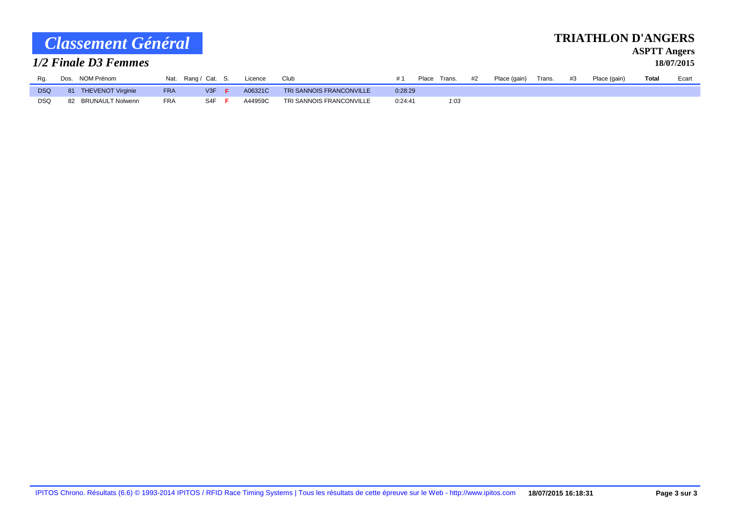| Classement Général |  |  |                          |            |                     |     |     |         |                          |         |              |    |              |        |    | <b>TRIATHLON D'ANGERS</b> | <b>ASPTT Angers</b> |            |
|--------------------|--|--|--------------------------|------------|---------------------|-----|-----|---------|--------------------------|---------|--------------|----|--------------|--------|----|---------------------------|---------------------|------------|
|                    |  |  | 1/2 Finale D3 Femmes     |            |                     |     |     |         |                          |         |              |    |              |        |    |                           |                     | 18/07/2015 |
| Rg.                |  |  | Dos. NOM Prénom          |            | Nat. Rang / Cat. S. |     |     | Licence | Club                     | #1      | Place Trans. | #2 | Place (gain) | Trans. | #3 | Place (gain)              | <b>Total</b>        | Ecart      |
| <b>DSQ</b>         |  |  | <b>THEVENOT Virginie</b> | <b>FRA</b> |                     | V3F | - F | A06321C | TRI SANNOIS FRANCONVILLE | 0:28:29 |              |    |              |        |    |                           |                     |            |

DSQ 82 BRUNAULT Nolwenn FRA S4F **F** A44959C TRI SANNOIS FRANCONVILLE 0:24:41 *1:03*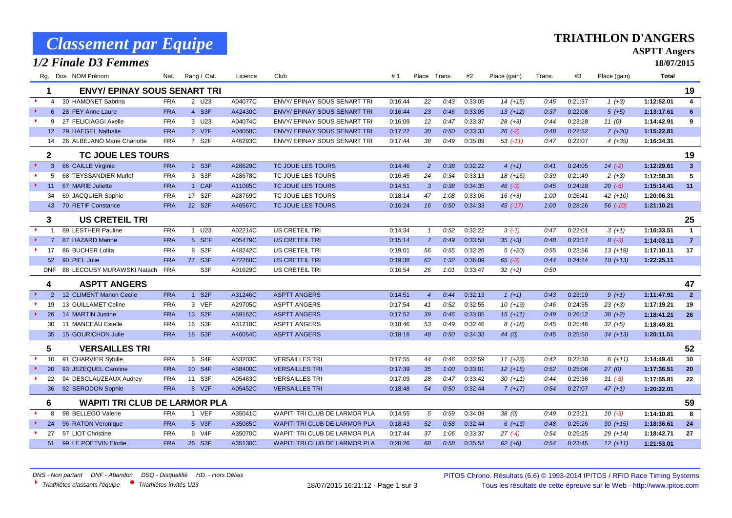|                                         | <b>Classement par Equipe</b>         |            |                     |         |                                      |         |                |      |         |              |        |         | <b>TRIATHLON D'ANGERS</b> |                                   |                         |
|-----------------------------------------|--------------------------------------|------------|---------------------|---------|--------------------------------------|---------|----------------|------|---------|--------------|--------|---------|---------------------------|-----------------------------------|-------------------------|
|                                         | 1/2 Finale D3 Femmes                 |            |                     |         |                                      |         |                |      |         |              |        |         |                           | <b>ASPTT Angers</b><br>18/07/2015 |                         |
|                                         |                                      |            |                     |         |                                      |         |                |      |         |              |        |         |                           |                                   |                         |
|                                         | Rg. Dos. NOM Prénom                  | Nat.       | Rang / Cat.         | Licence | Club                                 | #1      | Place Trans.   |      | #2      | Place (gain) | Trans. | #3      | Place (gain)              | <b>Total</b>                      |                         |
| 1                                       | <b>ENVY/ EPINAY SOUS SENART TRI</b>  |            |                     |         |                                      |         |                |      |         |              |        |         |                           |                                   | 19                      |
| $\blacktriangleright$<br>$\overline{4}$ | 30 HAMONET Sabrina                   | <b>FRA</b> | 2 U23               | A04077C | <b>ENVY/ EPINAY SOUS SENART TRI</b>  | 0:16:44 | 22             | 0:43 | 0:33:05 | $14(+15)$    | 0:45   | 0:21:37 | $1 (+3)$                  | 1:12:52.01                        | 4                       |
| $\blacktriangleright$<br>6              | 28 FEY Anne Laure                    | <b>FRA</b> | 4 S3F               | A42430C | <b>ENVY/ EPINAY SOUS SENART TRI</b>  | 0:16:44 | 23             | 0:46 | 0:33:05 | $13(+12)$    | 0:37   | 0:22:08 | $5(+5)$                   | 1:13:17.61                        | 6                       |
| ъ.<br>9                                 | 27 FELICIAGGI Axelle                 | <b>FRA</b> | 3 U23               | A04074C | ENVY/EPINAY SOUS SENART TRI          | 0:16:09 | 12             | 0:47 | 0:33:37 | $28 (+3)$    | 0:44   | 0:23:28 | 11(0)                     | 1:14:42.91                        | 9                       |
|                                         | 12 29 HAEGEL Nathalie                | <b>FRA</b> | 2 V2F               | A04058C | <b>ENVY/ EPINAY SOUS SENART TRI</b>  | 0:17:22 | 30             | 0:50 | 0:33:33 | $26$ $(-2)$  | 0:48   | 0:22:52 | $7(+20)$                  | 1:15:22.81                        |                         |
| 14                                      | 26 ALBEJANO Marie Charlotte          | <b>FRA</b> | 7 S <sub>2</sub> F  | A46293C | ENVY/EPINAY SOUS SENART TRI          | 0:17:44 | 38             | 0:49 | 0:35:09 | $53$ (-11)   | 0:47   | 0:22:07 | $4(+35)$                  | 1:16:34.31                        |                         |
| $\mathbf{2}$                            | <b>TC JOUE LES TOURS</b>             |            |                     |         |                                      |         |                |      |         |              |        |         |                           |                                   | 19                      |
| 3                                       | 66 CAILLE Virginie                   | <b>FRA</b> | 2 S3F               | A28629C | TC JOUE LES TOURS                    | 0:14:46 | 2              | 0:38 | 0:32:22 | $4(+1)$      | 0:41   | 0:24:05 | $14(-2)$                  | 1:12:29.61                        | $\overline{\mathbf{3}}$ |
| 5                                       | 68 TEYSSANDIER Muriel                | <b>FRA</b> | 3 S3F               | A28678C | TC JOUE LES TOURS                    | 0:16:45 | 24             | 0:34 | 0:33:13 | $18(+16)$    | 0:39   | 0:21:49 | $2(+3)$                   | 1:12:58.31                        | 5                       |
| $\blacktriangleright$ .<br>11           | 67 MARIE Juliette                    | <b>FRA</b> | 1 CAF               | A11085C | TC JOUE LES TOURS                    | 0:14:51 | $\mathbf{3}$   | 0:38 | 0:34:35 | $46$ $(-3)$  | 0:45   | 0:24:28 | $20( -5)$                 | 1:15:14.41                        | 11                      |
| 34                                      | 69 JACQUIER Sophie                   | <b>FRA</b> | 17 S2F              | A28769C | TC JOUE LES TOURS                    | 0:18:14 | 47             | 1:08 | 0:33:06 | $16 (+3)$    | 1:00   | 0:26:41 | $42 (+10)$                | 1:20:06.31                        |                         |
| 43                                      | 70 RETIF Constance                   | <b>FRA</b> | 22 S <sub>2</sub> F | A46567C | TC JOUE LES TOURS                    | 0:16:24 | 16             | 0:50 | 0:34:33 | $45$ $(-17)$ | 1:00   | 0:28:26 | $56$ $(-10)$              | 1:21:10.21                        |                         |
| 3                                       | <b>US CRETEIL TRI</b>                |            |                     |         |                                      |         |                |      |         |              |        |         |                           |                                   | 25                      |
| $\blacktriangleright$                   | 89 LESTHER Pauline                   | <b>FRA</b> | 1 U23               | A02214C | US CRETEIL TRI                       | 0:14:34 | $\mathcal{I}$  | 0:52 | 0:32:22 | $3(-1)$      | 0:47   | 0:22:01 | $3(+1)$                   | 1:10:33.51                        | $\mathbf{1}$            |
| $\blacktriangleright$<br>$\overline{7}$ | 87 HAZARD Marine                     | <b>FRA</b> | 5 SEF               | A05479C | <b>US CRETEIL TRI</b>                | 0:15:14 | $\overline{7}$ | 0:49 | 0:33:58 | $35 (+3)$    | 0:48   | 0:23:17 | $8(-3)$                   | 1:14:03.11                        | $\overline{7}$          |
| 17                                      | 86 BUCHER Lolita                     | <b>FRA</b> | 8 S2F               | A48242C | US CRETEIL TRI                       | 0:19:01 | 56             | 0:55 | 0:32:26 | $5(+20)$     | 0:55   | 0:23:56 | $13(+19)$                 | 1:17:10.11                        | 17                      |
| 52 <sub>2</sub>                         | 90 PIEL Julie                        | <b>FRA</b> | 27 S3F              | A72268C | <b>US CRETEIL TRI</b>                | 0:19:38 | 62             | 1:32 | 0:36:09 | $65(-3)$     | 0:44   | 0:24:24 | $18(+13)$                 | 1:22:25.11                        |                         |
| <b>DNF</b>                              | 88 LECOUSY MURAWSKI Natach           | <b>FRA</b> | S <sub>3F</sub>     | A01629C | US CRETEIL TRI                       | 0:16:54 | 26             | 1:01 | 0:33:47 | $32 (+2)$    | 0:50   |         |                           |                                   |                         |
| 4                                       | <b>ASPTT ANGERS</b>                  |            |                     |         |                                      |         |                |      |         |              |        |         |                           |                                   | 47                      |
| $\overline{2}$                          | 12 CLIMENT Manon Cecile              | <b>FRA</b> | 1 S2F               | A31246C | <b>ASPTT ANGERS</b>                  | 0:14:51 | $\overline{4}$ | 0:44 | 0:32:13 | $1(+1)$      | 0:43   | 0:23:19 | $9 (+1)$                  | 1:11:47.91                        | $\overline{2}$          |
| 19                                      | 13 GUILLAMET Celine                  | <b>FRA</b> | 3 VEF               | A29705C | <b>ASPTT ANGERS</b>                  | 0:17:54 | 41             | 0:52 | 0:32:55 | $10(+19)$    | 0:46   | 0:24:55 | $23 (+3)$                 | 1:17:19.21                        | 19                      |
| $\blacktriangleright$<br>26             | 14 MARTIN Justine                    | <b>FRA</b> | 13 S2F              | A59162C | <b>ASPTT ANGERS</b>                  | 0:17:52 | 39             | 0:46 | 0:33:05 | $15(+11)$    | 0:49   | 0:26:12 | $38 (+2)$                 | 1:18:41.21                        | 26                      |
| 30                                      | 11 MANCEAU Estelle                   | <b>FRA</b> | 16 S3F              | A31218C | <b>ASPTT ANGERS</b>                  | 0:18:46 | 53             | 0:49 | 0:32:46 | $8(+18)$     | 0:45   | 0:25:46 | $32 (+5)$                 | 1:18:49.81                        |                         |
| 35                                      | 15 GOURICHON Julie                   | <b>FRA</b> | 18 S3F              | A46054C | <b>ASPTT ANGERS</b>                  | 0:18:16 | 48             | 0:50 | 0:34:33 | 44 $(0)$     | 0:45   | 0:25:50 | $34(+13)$                 | 1:20:11.51                        |                         |
| $5\phantom{.0}$                         | <b>VERSAILLES TRI</b>                |            |                     |         |                                      |         |                |      |         |              |        |         |                           |                                   | 52                      |
| 10                                      | 91 CHARVIER Sybille                  | <b>FRA</b> | 6 S4F               | A53203C | <b>VERSAILLES TRI</b>                | 0:17:55 | 44             | 0:46 | 0:32:59 | $11 (+23)$   | 0:42   | 0:22:30 | $6(+11)$                  | 1:14:49.41                        | 10                      |
| 20                                      | 93 JEZEQUEL Caroline                 | <b>FRA</b> | 10 S4F              | A58400C | <b>VERSAILLES TRI</b>                | 0:17:39 | 35             | 1:00 | 0:33:01 | $12(+15)$    | 0:52   | 0:25:06 | 27(0)                     | 1:17:36.51                        | 20                      |
| ×.<br>22                                | 94 DESCLAUZEAUX Audrey               | <b>FRA</b> | 11 S3F              | A05483C | <b>VERSAILLES TRI</b>                | 0:17:09 | 28             | 0:47 | 0:33:42 | $30 (+11)$   | 0:44   | 0:25:36 | $31 (-5)$                 | 1:17:55.81                        | 22                      |
| 36                                      | 92 SERODON Sophie                    | <b>FRA</b> | 8 V2F               | A05452C | <b>VERSAILLES TRI</b>                | 0:18:48 | 54             | 0:50 | 0:32:44 | $7(+17)$     | 0:54   | 0:27:07 | $47 (+1)$                 | 1:20:22.01                        |                         |
| 6                                       | <b>WAPITI TRI CLUB DE LARMOR PLA</b> |            |                     |         |                                      |         |                |      |         |              |        |         |                           |                                   | 59                      |
| 8                                       | 98 BELLEGO Valerie                   | <b>FRA</b> | 1 VEF               | A35041C | WAPITI TRI CLUB DE LARMOR PLA        | 0:14:55 | 5              | 0:59 | 0:34:09 | 38(0)        | 0:49   | 0:23:21 | $10(-3)$                  | 1:14:10.81                        | 8                       |
| 24                                      | 96 RATON Veronique                   | <b>FRA</b> | 5 V3F               | A35085C | <b>WAPITI TRI CLUB DE LARMOR PLA</b> | 0:18:43 | 52             | 0:58 | 0:32:44 | $6 (+13)$    | 0:48   | 0:25:26 | $30 (+15)$                | 1:18:36.61                        | 24                      |
| 27                                      | 97 LIOT Christine                    | <b>FRA</b> | 6 V4F               | A35070C | WAPITI TRI CLUB DE LARMOR PLA        | 0:17:44 | 37             | 1:06 | 0:33:37 | $27(-4)$     | 0:54   | 0:25:25 | $29(+14)$                 | 1:18:42.71                        | 27                      |
| 51                                      | 99 LE POETVIN Elodie                 | <b>FRA</b> | 26 S3F              | A35130C | <b>WAPITI TRI CLUB DE LARMOR PLA</b> | 0:20:26 | 68             | 0:58 | 0:35:52 | $62 (+6)$    | 0:54   | 0:23:45 | $12(+11)$                 | 1:21:53.01                        |                         |

**TRIATHLON D'ANGERS**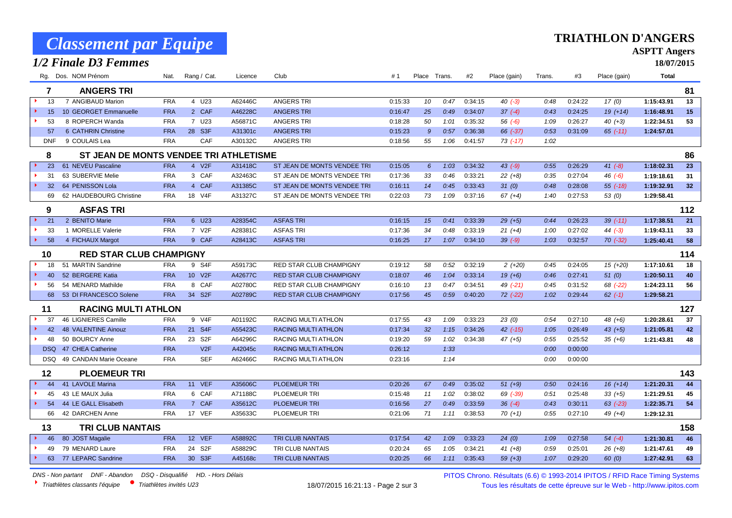|                             | <b>Classement par Equipe</b>           |            |             |         |                                |         |       |        |         |              |        |         | TRIATHLON D'ANGERS |                     |     |
|-----------------------------|----------------------------------------|------------|-------------|---------|--------------------------------|---------|-------|--------|---------|--------------|--------|---------|--------------------|---------------------|-----|
|                             |                                        |            |             |         |                                |         |       |        |         |              |        |         |                    | <b>ASPTT Angers</b> |     |
|                             | 1/2 Finale D3 Femmes                   |            |             |         |                                |         |       |        |         |              |        |         |                    | 18/07/2015          |     |
| Rg.                         | Dos. NOM Prénom                        | Nat.       | Rang / Cat. | Licence | Club                           | #1      | Place | Trans. | #2      | Place (gain) | Trans. | #3      | Place (gain)       | <b>Total</b>        |     |
| 7                           | <b>ANGERS TRI</b>                      |            |             |         |                                |         |       |        |         |              |        |         |                    |                     | 81  |
| 13<br>$\ddot{\phantom{1}}$  | 7 ANGIBAUD Marion                      | <b>FRA</b> | 4 U23       | A62446C | <b>ANGERS TRI</b>              | 0:15:33 | 10    | 0:47   | 0:34:15 | $40( -3)$    | 0:48   | 0:24:22 | 17(0)              | 1:15:43.91          | 13  |
| 15                          | 10 GEORGET Emmanuelle                  | <b>FRA</b> | 2 CAF       | A46228C | <b>ANGERS TRI</b>              | 0:16:47 | 25    | 0:49   | 0:34:07 | $37(-4)$     | 0:43   | 0:24:25 | $19(+14)$          | 1:16:48.91          | 15  |
| 53                          | 8 ROPERCH Wanda                        | <b>FRA</b> | 7 U23       | A56871C | <b>ANGERS TRI</b>              | 0:18:28 | 50    | 1:01   | 0:35:32 | $56(-6)$     | 1:09   | 0:26:27 | $40 (+3)$          | 1:22:34.51          | 53  |
| 57                          | 6 CATHRIN Christine                    | <b>FRA</b> | 28 S3F      | A31301c | <b>ANGERS TRI</b>              | 0:15:23 | 9     | 0:57   | 0:36:38 | 66 (-37)     | 0:53   | 0:31:09 | $65$ $(-11)$       | 1:24:57.01          |     |
| <b>DNF</b>                  | 9 COULAIS Lea                          | <b>FRA</b> | CAF         | A30132C | <b>ANGERS TRI</b>              | 0:18:56 | 55    | 1:06   | 0:41:57 | 73 (-17)     | 1:02   |         |                    |                     |     |
| 8                           | ST JEAN DE MONTS VENDEE TRI ATHLETISME |            |             |         |                                |         |       |        |         |              |        |         |                    |                     | 86  |
| 23                          | 61 NEVEU Pascaline                     | <b>FRA</b> | 4 V2F       | A31418C | ST JEAN DE MONTS VENDEE TRI    | 0:15:05 | 6     | 1:03   | 0:34:32 | 43 (-9)      | 0:55   | 0:26:29 | $41 (-8)$          | 1:18:02.31          | 23  |
| 31                          | 63 SUBERVIE Melie                      | <b>FRA</b> | 3 CAF       | A32463C | ST JEAN DE MONTS VENDEE TRI    | 0:17:36 | 33    | 0:46   | 0:33:21 | $22 (+8)$    | 0:35   | 0:27:04 | $46(-6)$           | 1:19:18.61          | 31  |
| $\rightarrow$<br>32         | 64 PENISSON Lola                       | <b>FRA</b> | 4 CAF       | A31385C | ST JEAN DE MONTS VENDEE TRI    | 0:16:11 | 14    | 0:45   | 0:33:43 | 31(0)        | 0:48   | 0:28:08 | $55(-18)$          | 1:19:32.91          | 32  |
| 69                          | 62 HAUDEBOURG Christine                | <b>FRA</b> | 18 V4F      | A31327C | ST JEAN DE MONTS VENDEE TRI    | 0:22:03 | 73    | 1:09   | 0:37:16 | $67 (+4)$    | 1:40   | 0:27:53 | 53(0)              | 1:29:58.41          |     |
| 9                           | <b>ASFAS TRI</b>                       |            |             |         |                                |         |       |        |         |              |        |         |                    |                     | 112 |
| 21                          | 2 BENITO Marie                         | <b>FRA</b> | 6 U23       | A28354C | <b>ASFAS TRI</b>               | 0:16:15 | 15    | 0:41   | 0:33:39 | $29(+5)$     | 0:44   | 0:26:23 | $39$ $(-11)$       | 1:17:38.51          | 21  |
| 33                          | 1 MORELLE Valerie                      | <b>FRA</b> | 7 V2F       | A28381C | <b>ASFAS TRI</b>               | 0:17:36 | 34    | 0:48   | 0:33:19 | $21(+4)$     | 1:00   | 0:27:02 | $44 (-3)$          | 1:19:43.11          | 33  |
| 58                          | 4 FICHAUX Margot                       | <b>FRA</b> | 9 CAF       | A28413C | <b>ASFAS TRI</b>               | 0:16:25 | 17    | 1:07   | 0:34:10 | $39( -9)$    | 1:03   | 0:32:57 | $70$ $(-32)$       | 1:25:40.41          | 58  |
| 10                          | <b>RED STAR CLUB CHAMPIGNY</b>         |            |             |         |                                |         |       |        |         |              |        |         |                    |                     | 114 |
| 18                          | 51 MARTIN Sandrine                     | <b>FRA</b> | 9 S4F       | A59173C | RED STAR CLUB CHAMPIGNY        | 0:19:12 | 58    | 0:52   | 0:32:19 | $2(+20)$     | 0:45   | 0:24:05 | $15(+20)$          | 1:17:10.61          | 18  |
| 40                          | 52 BERGERE Katia                       | <b>FRA</b> | 10 V2F      | A42677C | <b>RED STAR CLUB CHAMPIGNY</b> | 0:18:07 | 46    | 1:04   | 0:33:14 | $19(+6)$     | 0:46   | 0:27:41 | 51(0)              | 1:20:50.11          | 40  |
| 56                          | 54 MENARD Mathilde                     | <b>FRA</b> | 8 CAF       | A02780C | RED STAR CLUB CHAMPIGNY        | 0:16:10 | 13    | 0:47   | 0:34:51 | 49 (-21)     | 0:45   | 0:31:52 | 68 (-22)           | 1:24:23.11          | 56  |
| 68                          | 53 DI FRANCESCO Solene                 | <b>FRA</b> | 34 S2F      | A02789C | <b>RED STAR CLUB CHAMPIGNY</b> | 0:17:56 | 45    | 0:59   | 0:40:20 | $72$ $(-22)$ | 1:02   | 0:29:44 | $62$ $(-1)$        | 1:29:58.21          |     |
| 11                          | <b>RACING MULTI ATHLON</b>             |            |             |         |                                |         |       |        |         |              |        |         |                    |                     | 127 |
| 37                          | 46 LIGNIERES Camille                   | <b>FRA</b> | 9 V4F       | A01192C | <b>RACING MULTI ATHLON</b>     | 0:17:55 | 43    | 1:09   | 0:33:23 | 23(0)        | 0:54   | 0:27:10 | $48(+6)$           | 1:20:28.61          | 37  |
| 42                          | 48 VALENTINE Ainouz                    | <b>FRA</b> | 21 S4F      | A55423C | <b>RACING MULTI ATHLON</b>     | 0:17:34 | 32    | 1:15   | 0:34:26 | 42 (-15)     | 1:05   | 0:26:49 | $43 (+5)$          | 1:21:05.81          | 42  |
| 48                          | 50 BOURCY Anne                         | <b>FRA</b> | 23 S2F      | A64296C | RACING MULTI ATHLON            | 0:19:20 | 59    | 1:02   | 0:34:38 | $47 (+5)$    | 0:55   | 0:25:52 | $35(+6)$           | 1:21:43.81          | 48  |
| <b>DSQ</b>                  | 47 CHEA Catherine                      | <b>FRA</b> | V2F         | A42045c | <b>RACING MULTI ATHLON</b>     | 0:26:12 |       | 1:33   |         |              | 0:00   | 0:00:00 |                    |                     |     |
| <b>DSQ</b>                  | 49 CANDAN Marie Oceane                 | <b>FRA</b> | <b>SEF</b>  | A62466C | <b>RACING MULTI ATHLON</b>     | 0:23:16 |       | 1:14   |         |              | 0:00   | 0:00:00 |                    |                     |     |
| 12                          | <b>PLOEMEUR TRI</b>                    |            |             |         |                                |         |       |        |         |              |        |         |                    |                     | 143 |
| 44                          | 41 LAVOLE Marina                       | <b>FRA</b> | 11 VEF      | A35606C | <b>PLOEMEUR TRI</b>            | 0:20:26 | 67    | 0:49   | 0:35:02 | $51 (+9)$    | 0:50   | 0:24:16 | $16 (+14)$         | 1:21:20.31          | 44  |
| 45                          | 43 LE MAUX Julia                       | <b>FRA</b> | 6 CAF       | A71188C | PLOEMEUR TRI                   | 0:15:48 | 11    | 1:02   | 0:38:02 | 69 (-39)     | 0:51   | 0:25:48 | $33 (+5)$          | 1:21:29.51          | 45  |
| $\blacktriangleright$<br>54 | 44 LE GALL Elisabeth                   | <b>FRA</b> | 7 CAF       | A35612C | <b>PLOEMEUR TRI</b>            | 0:16:56 | 27    | 0:49   | 0:33:59 | $36(-4)$     | 0:43   | 0:30:11 | $63$ $(-23)$       | 1:22:35.71          | 54  |
| 66                          | 42 DARCHEN Anne                        | <b>FRA</b> | 17 VEF      | A35633C | PLOEMEUR TRI                   | 0:21:06 | 71    | 1:11   | 0:38:53 | $70(+1)$     | 0:55   | 0:27:10 | $49 (+4)$          | 1:29:12.31          |     |
| 13                          | <b>TRI CLUB NANTAIS</b>                |            |             |         |                                |         |       |        |         |              |        |         |                    |                     | 158 |
| 46                          | 80 JOST Magalie                        | <b>FRA</b> | 12 VEF      | A58892C | <b>TRI CLUB NANTAIS</b>        | 0:17:54 | 42    | 1:09   | 0:33:23 | 24(0)        | 1:09   | 0:27:58 | $54 (-4)$          | 1:21:30.81          | 46  |
| 49                          | 79 MENARD Laure                        | <b>FRA</b> | 24 S2F      | A58829C | TRI CLUB NANTAIS               | 0:20:24 | 65    | 1:05   | 0:34:21 | $41 (+8)$    | 0:59   | 0:25:01 | $26 (+8)$          | 1:21:47.61          | 49  |
| 63                          | 77 LEPARC Sandrine                     | <b>FRA</b> | 30 S3F      | A45168c | <b>TRI CLUB NANTAIS</b>        | 0:20:25 | 66    | 1:11   | 0:35:43 | $59(+3)$     | 1:07   | 0:29:20 | 60(0)              | 1:27:42.91          | 63  |
|                             |                                        |            |             |         |                                |         |       |        |         |              |        |         |                    |                     |     |

*DNS - Non partant DNF - Abandon DSQ - Disqualifié HD. - Hors Délais*

IPITOS Chrono. Résultats (6.6) © 1993-2014 IPITOS / RFID Race Timing Systems → *Triathlètes classants l'équipe* ● *Triathlètes invités U23* 18/07/2015 16:21:13 - Page 2 sur 3 Tous les résultats de cette épreuve sur le Web - http://www.ipitos.com

**TRIATHLON D'ANGERS**